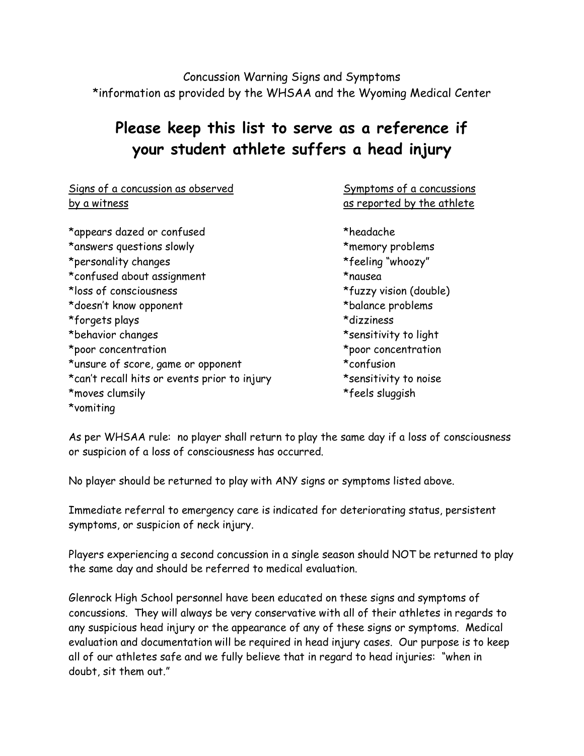Concussion Warning Signs and Symptoms \*information as provided by the WHSAA and the Wyoming Medical Center

## **Please keep this list to serve as a reference if your student athlete suffers a head injury**

Signs of a concussion as observed Symptoms of a concussions by a witness by a witness as reported by the athlete \*appears dazed or confused \*headache \*answers questions slowly \*memory problems \*personality changes \*feeling "whoozy" \*confused about assignment \*nausea \*loss of consciousness \*fuzzy vision (double) \*doesn't know opponent \*balance problems \*forgets plays \*dizziness \*behavior changes \*sensitivity to light \*poor concentration \*poor concentration \*unsure of score, game or opponent \*confusion \*can't recall hits or events prior to injury \*\*\*\*\*\*\*\*\*\*\*\*\*\*\*\*\*\*\*\*\*\*\*\*\*\*\*\*\*\*\*\*\*\*\* \*moves clumsily \*feels sluggish \*vomiting

As per WHSAA rule: no player shall return to play the same day if a loss of consciousness or suspicion of a loss of consciousness has occurred.

No player should be returned to play with ANY signs or symptoms listed above.

Immediate referral to emergency care is indicated for deteriorating status, persistent symptoms, or suspicion of neck injury.

Players experiencing a second concussion in a single season should NOT be returned to play the same day and should be referred to medical evaluation.

Glenrock High School personnel have been educated on these signs and symptoms of concussions. They will always be very conservative with all of their athletes in regards to any suspicious head injury or the appearance of any of these signs or symptoms. Medical evaluation and documentation will be required in head injury cases. Our purpose is to keep all of our athletes safe and we fully believe that in regard to head injuries: "when in doubt, sit them out."